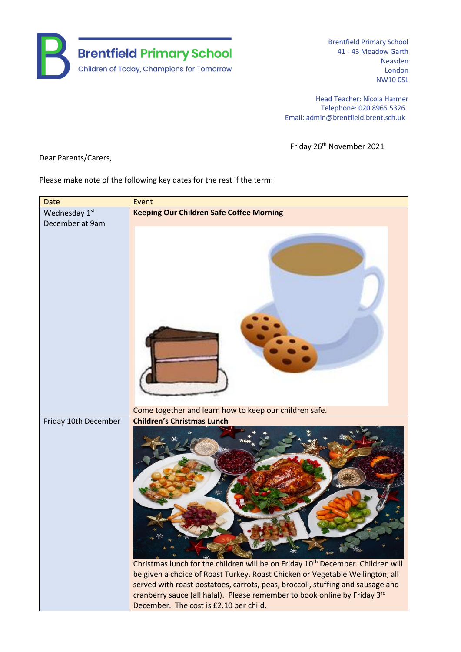

Brentfield Primary School 41 - 43 Meadow Garth Neasden London NW10 0SL

Head Teacher: Nicola Harmer Telephone: 020 8965 5326 Email: admin@brentfield.brent.sch.uk

Friday 26<sup>th</sup> November 2021

Dear Parents/Carers,

Please make note of the following key dates for the rest if the term:

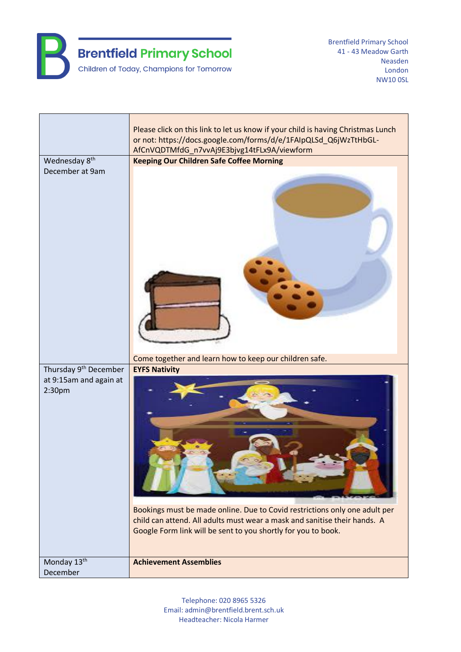

Brentfield Primary School 41 - 43 Meadow Garth Neasden London NW10 0SL

|                                                                       | Please click on this link to let us know if your child is having Christmas Lunch<br>or not: https://docs.google.com/forms/d/e/1FAIpQLSd_Q6jWzTtHbGL-<br>AfCnVQDTMfdG_n7vvAj9E3bjvg14tFLx9A/viewform                                              |
|-----------------------------------------------------------------------|--------------------------------------------------------------------------------------------------------------------------------------------------------------------------------------------------------------------------------------------------|
| Wednesday 8 <sup>th</sup><br>December at 9am                          | <b>Keeping Our Children Safe Coffee Morning</b>                                                                                                                                                                                                  |
|                                                                       | Come together and learn how to keep our children safe.                                                                                                                                                                                           |
| Thursday 9 <sup>th</sup> December<br>at 9:15am and again at<br>2:30pm | <b>EYFS Nativity</b><br>Bookings must be made online. Due to Covid restrictions only one adult per<br>child can attend. All adults must wear a mask and sanitise their hands. A<br>Google Form link will be sent to you shortly for you to book. |
| Monday 13 <sup>th</sup><br>December                                   | <b>Achievement Assemblies</b>                                                                                                                                                                                                                    |